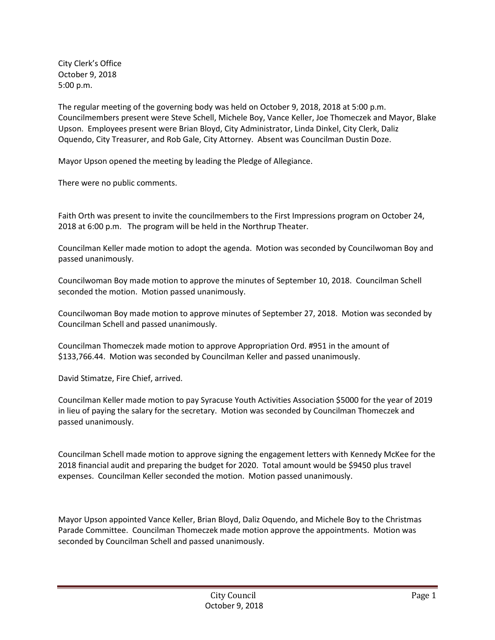City Clerk's Office October 9, 2018 5:00 p.m.

The regular meeting of the governing body was held on October 9, 2018, 2018 at 5:00 p.m. Councilmembers present were Steve Schell, Michele Boy, Vance Keller, Joe Thomeczek and Mayor, Blake Upson. Employees present were Brian Bloyd, City Administrator, Linda Dinkel, City Clerk, Daliz Oquendo, City Treasurer, and Rob Gale, City Attorney. Absent was Councilman Dustin Doze.

Mayor Upson opened the meeting by leading the Pledge of Allegiance.

There were no public comments.

Faith Orth was present to invite the councilmembers to the First Impressions program on October 24, 2018 at 6:00 p.m. The program will be held in the Northrup Theater.

Councilman Keller made motion to adopt the agenda. Motion was seconded by Councilwoman Boy and passed unanimously.

Councilwoman Boy made motion to approve the minutes of September 10, 2018. Councilman Schell seconded the motion. Motion passed unanimously.

Councilwoman Boy made motion to approve minutes of September 27, 2018. Motion was seconded by Councilman Schell and passed unanimously.

Councilman Thomeczek made motion to approve Appropriation Ord. #951 in the amount of \$133,766.44. Motion was seconded by Councilman Keller and passed unanimously.

David Stimatze, Fire Chief, arrived.

Councilman Keller made motion to pay Syracuse Youth Activities Association \$5000 for the year of 2019 in lieu of paying the salary for the secretary. Motion was seconded by Councilman Thomeczek and passed unanimously.

Councilman Schell made motion to approve signing the engagement letters with Kennedy McKee for the 2018 financial audit and preparing the budget for 2020. Total amount would be \$9450 plus travel expenses. Councilman Keller seconded the motion. Motion passed unanimously.

Mayor Upson appointed Vance Keller, Brian Bloyd, Daliz Oquendo, and Michele Boy to the Christmas Parade Committee. Councilman Thomeczek made motion approve the appointments. Motion was seconded by Councilman Schell and passed unanimously.